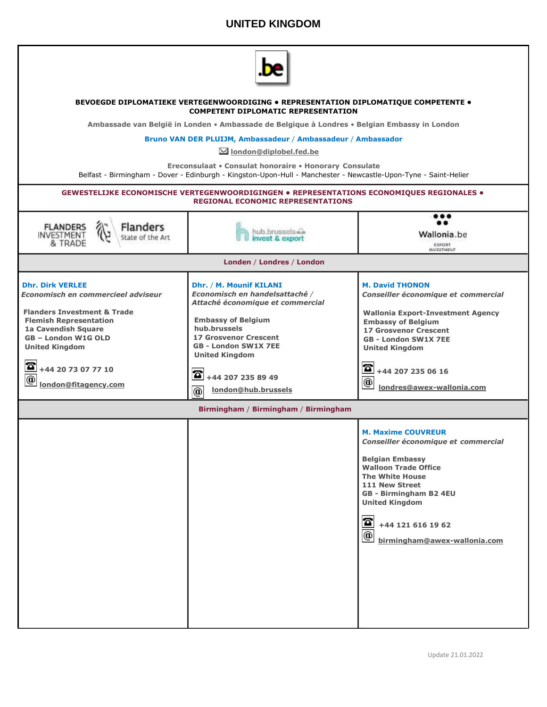## **UNITED KINGDOM**